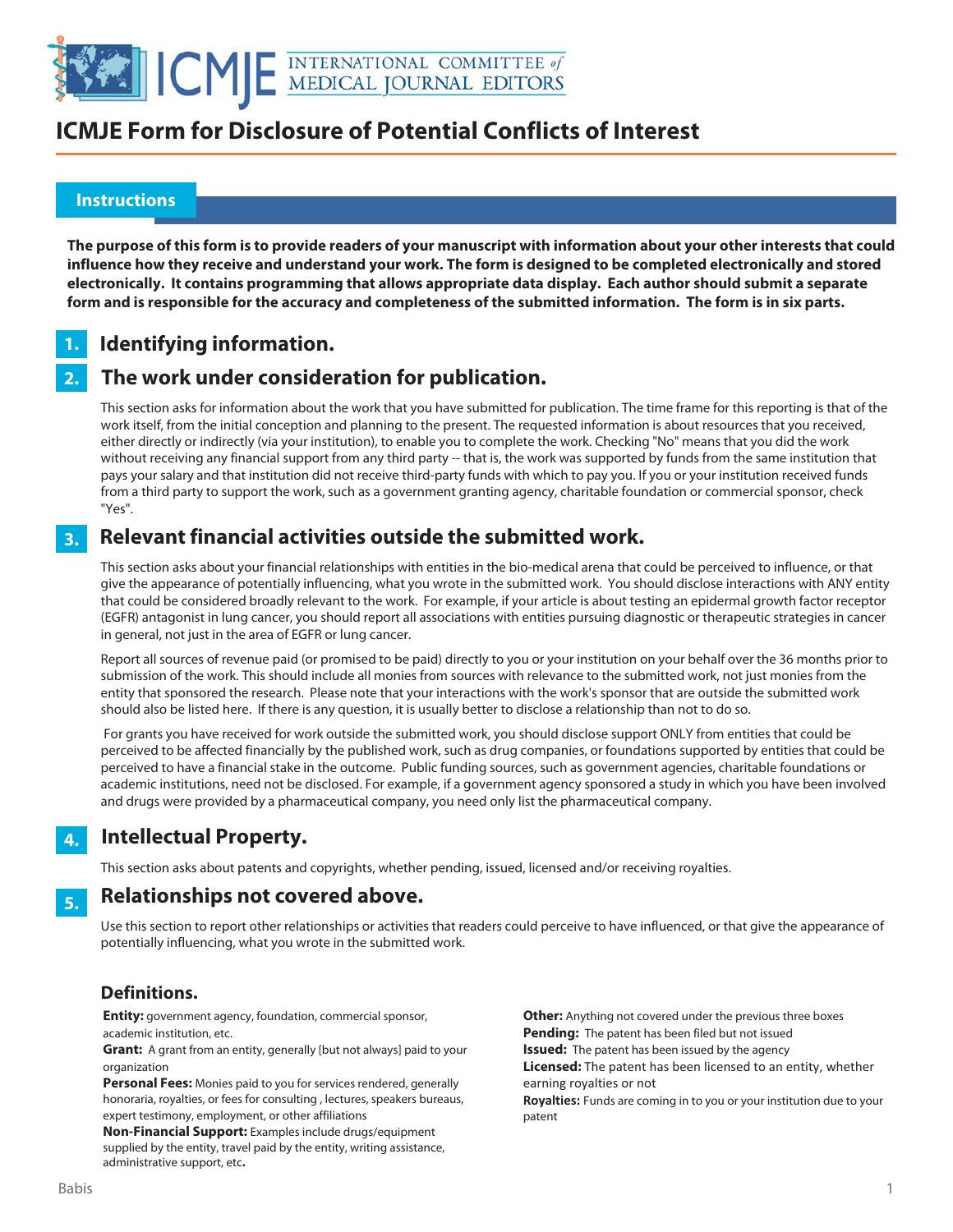

## **ICMJE Form for Disclosure of Potential Conflicts of Interest**

### **Instructions**

 

> **The purpose of this form is to provide readers of your manuscript with information about your other interests that could influence how they receive and understand your work. The form is designed to be completed electronically and stored electronically. It contains programming that allows appropriate data display. Each author should submit a separate form and is responsible for the accuracy and completeness of the submitted information. The form is in six parts.**

### **Identifying information. 1.**

### **The work under consideration for publication. 2.**

This section asks for information about the work that you have submitted for publication. The time frame for this reporting is that of the work itself, from the initial conception and planning to the present. The requested information is about resources that you received, either directly or indirectly (via your institution), to enable you to complete the work. Checking "No" means that you did the work without receiving any financial support from any third party -- that is, the work was supported by funds from the same institution that pays your salary and that institution did not receive third-party funds with which to pay you. If you or your institution received funds from a third party to support the work, such as a government granting agency, charitable foundation or commercial sponsor, check "Yes".

#### **Relevant financial activities outside the submitted work. 3.**

This section asks about your financial relationships with entities in the bio-medical arena that could be perceived to influence, or that give the appearance of potentially influencing, what you wrote in the submitted work. You should disclose interactions with ANY entity that could be considered broadly relevant to the work. For example, if your article is about testing an epidermal growth factor receptor (EGFR) antagonist in lung cancer, you should report all associations with entities pursuing diagnostic or therapeutic strategies in cancer in general, not just in the area of EGFR or lung cancer.

Report all sources of revenue paid (or promised to be paid) directly to you or your institution on your behalf over the 36 months prior to submission of the work. This should include all monies from sources with relevance to the submitted work, not just monies from the entity that sponsored the research. Please note that your interactions with the work's sponsor that are outside the submitted work should also be listed here. If there is any question, it is usually better to disclose a relationship than not to do so.

 For grants you have received for work outside the submitted work, you should disclose support ONLY from entities that could be perceived to be affected financially by the published work, such as drug companies, or foundations supported by entities that could be perceived to have a financial stake in the outcome. Public funding sources, such as government agencies, charitable foundations or academic institutions, need not be disclosed. For example, if a government agency sponsored a study in which you have been involved and drugs were provided by a pharmaceutical company, you need only list the pharmaceutical company.

### **Intellectual Property. 4.**

This section asks about patents and copyrights, whether pending, issued, licensed and/or receiving royalties.

#### **Relationships not covered above. 5.**

Use this section to report other relationships or activities that readers could perceive to have influenced, or that give the appearance of potentially influencing, what you wrote in the submitted work.

### **Definitions.**

**Entity:** government agency, foundation, commercial sponsor, academic institution, etc.

**Grant:** A grant from an entity, generally [but not always] paid to your organization

**Personal Fees:** Monies paid to you for services rendered, generally honoraria, royalties, or fees for consulting , lectures, speakers bureaus, expert testimony, employment, or other affiliations

**Non-Financial Support:** Examples include drugs/equipment supplied by the entity, travel paid by the entity, writing assistance, administrative support, etc**.**

**Other:** Anything not covered under the previous three boxes **Pending:** The patent has been filed but not issued **Issued:** The patent has been issued by the agency **Licensed:** The patent has been licensed to an entity, whether earning royalties or not

**Royalties:** Funds are coming in to you or your institution due to your patent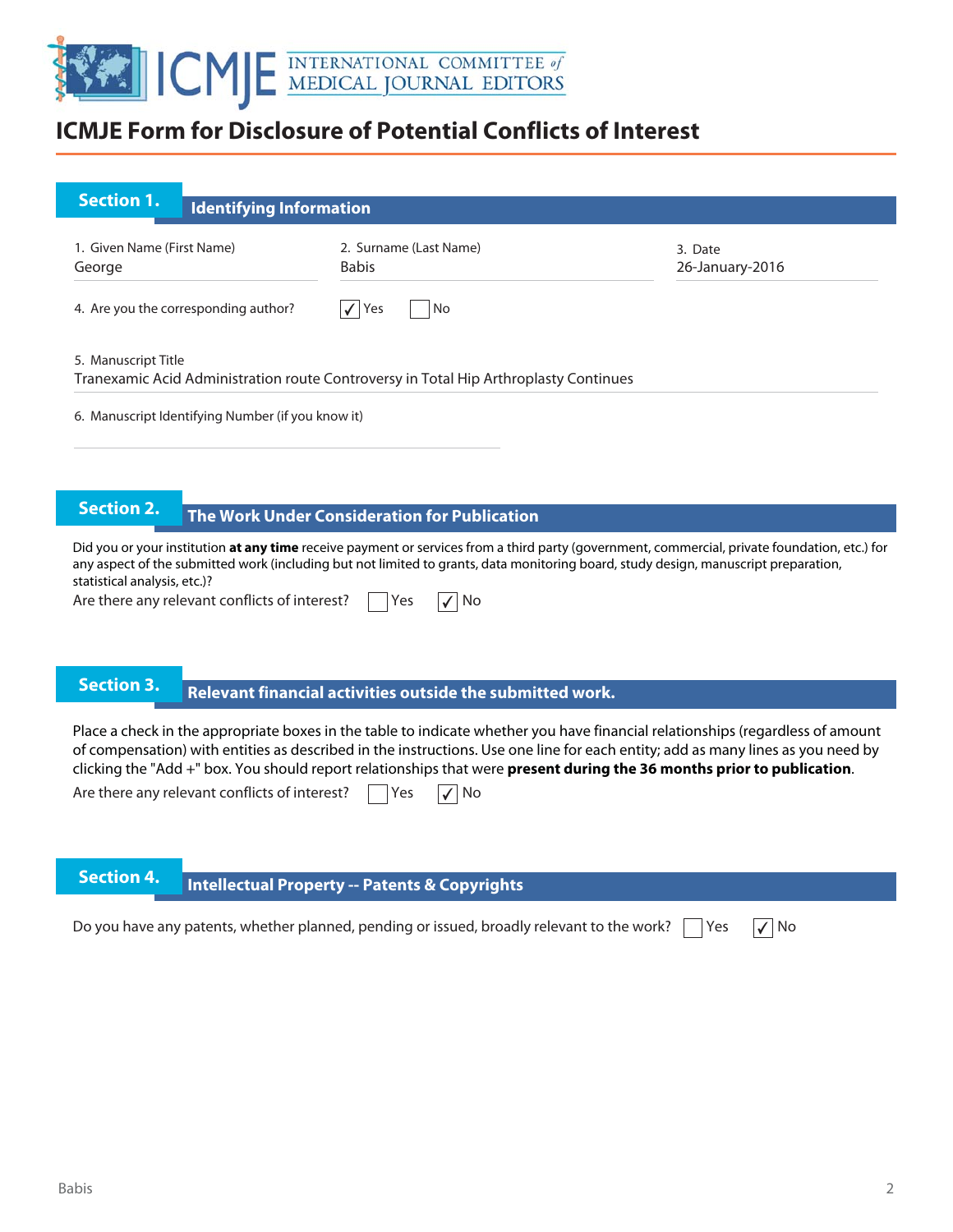

# **ICMJE Form for Disclosure of Potential Conflicts of Interest**

| <b>Section 1.</b><br><b>Identifying Information</b>                                                                                                                                                                                                                                                                                                                                         |                                                           |                            |
|---------------------------------------------------------------------------------------------------------------------------------------------------------------------------------------------------------------------------------------------------------------------------------------------------------------------------------------------------------------------------------------------|-----------------------------------------------------------|----------------------------|
| 1. Given Name (First Name)<br>George                                                                                                                                                                                                                                                                                                                                                        | 2. Surname (Last Name)<br><b>Babis</b>                    | 3. Date<br>26-January-2016 |
| 4. Are you the corresponding author?                                                                                                                                                                                                                                                                                                                                                        | $\sqrt{\vert \text{Yes}}$<br>No                           |                            |
| 5. Manuscript Title<br>Tranexamic Acid Administration route Controversy in Total Hip Arthroplasty Continues                                                                                                                                                                                                                                                                                 |                                                           |                            |
| 6. Manuscript Identifying Number (if you know it)                                                                                                                                                                                                                                                                                                                                           |                                                           |                            |
|                                                                                                                                                                                                                                                                                                                                                                                             |                                                           |                            |
| <b>Section 2.</b>                                                                                                                                                                                                                                                                                                                                                                           | The Work Under Consideration for Publication              |                            |
| Did you or your institution at any time receive payment or services from a third party (government, commercial, private foundation, etc.) for<br>any aspect of the submitted work (including but not limited to grants, data monitoring board, study design, manuscript preparation,<br>statistical analysis, etc.)?<br>Are there any relevant conflicts of interest?<br>$\sqrt{ N}$<br>Yes |                                                           |                            |
| <b>Section 3.</b>                                                                                                                                                                                                                                                                                                                                                                           |                                                           |                            |
|                                                                                                                                                                                                                                                                                                                                                                                             | Relevant financial activities outside the submitted work. |                            |
| Place a check in the appropriate boxes in the table to indicate whether you have financial relationships (regardless of amount<br>of compensation) with entities as described in the instructions. Use one line for each entity; add as many lines as you need by<br>clicking the "Add +" box. You should report relationships that were present during the 36 months prior to publication. |                                                           |                            |

**Intellectual Property -- Patents & Copyrights** 

Are there any relevant conflicts of interest?  $\Box$  Yes  $\Box$  No

Do you have any patents, whether planned, pending or issued, broadly relevant to the work?  $\Box$  Yes  $\Box$  No